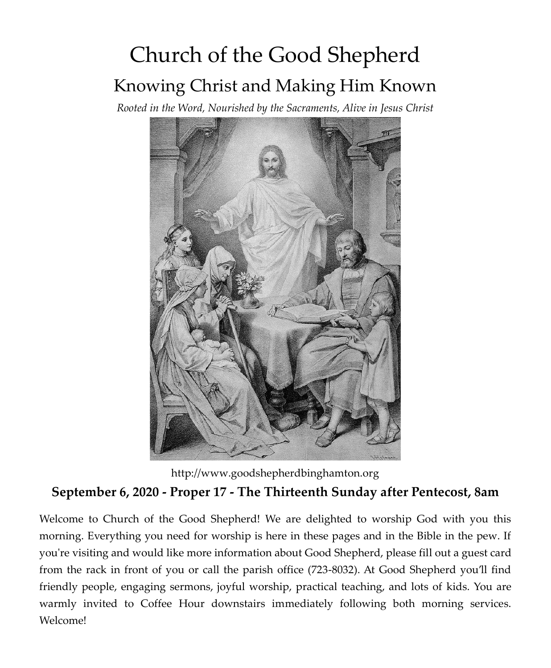# Church of the Good Shepherd Knowing Christ and Making Him Known

*Rooted in the Word, Nourished by the Sacraments, Alive in Jesus Christ*



http://www.goodshepherdbinghamton.org

# **September 6, 2020 - Proper 17 - The Thirteenth Sunday after Pentecost, 8am**

Welcome to Church of the Good Shepherd! We are delighted to worship God with you this morning. Everything you need for worship is here in these pages and in the Bible in the pew. If you're visiting and would like more information about Good Shepherd, please fill out a guest card from the rack in front of you or call the parish office (723-8032). At Good Shepherd you'll find friendly people, engaging sermons, joyful worship, practical teaching, and lots of kids. You are warmly invited to Coffee Hour downstairs immediately following both morning services. Welcome!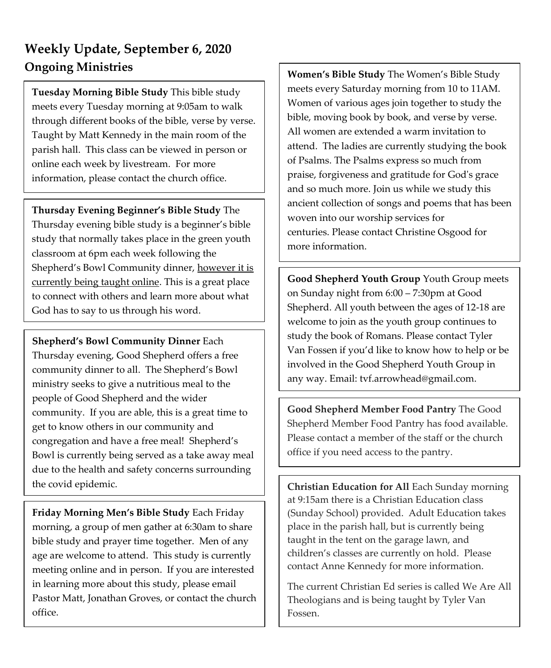# **Weekly Update, September 6, 2020 Ongoing Ministries**

**Tuesday Morning Bible Study** This bible study meets every Tuesday morning at 9:05am to walk through different books of the bible, verse by verse. Taught by Matt Kennedy in the main room of the parish hall. This class can be viewed in person or online each week by livestream. For more information, please contact the church office.

**Thursday Evening Beginner's Bible Study** The Thursday evening bible study is a beginner's bible study that normally takes place in the green youth classroom at 6pm each week following the Shepherd's Bowl Community dinner, however it is currently being taught online. This is a great place to connect with others and learn more about what God has to say to us through his word.

**Shepherd's Bowl Community Dinner** Each Thursday evening, Good Shepherd offers a free community dinner to all. The Shepherd's Bowl ministry seeks to give a nutritious meal to the people of Good Shepherd and the wider community. If you are able, this is a great time to get to know others in our community and congregation and have a free meal! Shepherd's Bowl is currently being served as a take away meal due to the health and safety concerns surrounding the covid epidemic.

**Friday Morning Men's Bible Study** Each Friday morning, a group of men gather at 6:30am to share bible study and prayer time together. Men of any age are welcome to attend. This study is currently meeting online and in person. If you are interested in learning more about this study, please email Pastor Matt, Jonathan Groves, or contact the church office.

**Women's Bible Study** The Women's Bible Study meets every Saturday morning from 10 to 11AM. Women of various ages join together to study the bible, moving book by book, and verse by verse. All women are extended a warm invitation to attend. The ladies are currently studying the book of Psalms. The Psalms express so much from praise, forgiveness and gratitude for God's grace and so much more. Join us while we study this ancient collection of songs and poems that has been woven into our worship services for centuries. Please contact Christine Osgood for more information.

**Good Shepherd Youth Group** Youth Group meets on Sunday night from 6:00 – 7:30pm at Good Shepherd. All youth between the ages of 12-18 are welcome to join as the youth group continues to study the book of Romans. Please contact Tyler Van Fossen if you'd like to know how to help or be involved in the Good Shepherd Youth Group in any way. Email: tvf.arrowhead@gmail.com. *The women's bible study is currently paused. Please see Christine Osgood for more information.*

**Good Shepherd Member Food Pantry** The Good Shepherd Member Food Pantry has food available. Please contact a member of the staff or the church office if you need access to the pantry.

**Christian Education for All** Each Sunday morning at 9:15am there is a Christian Education class (Sunday School) provided. Adult Education takes place in the parish hall, but is currently being taught in the tent on the garage lawn, and children's classes are currently on hold. Please contact Anne Kennedy for more information.

The current Christian Ed series is called We Are All Theologians and is being taught by Tyler Van Fossen.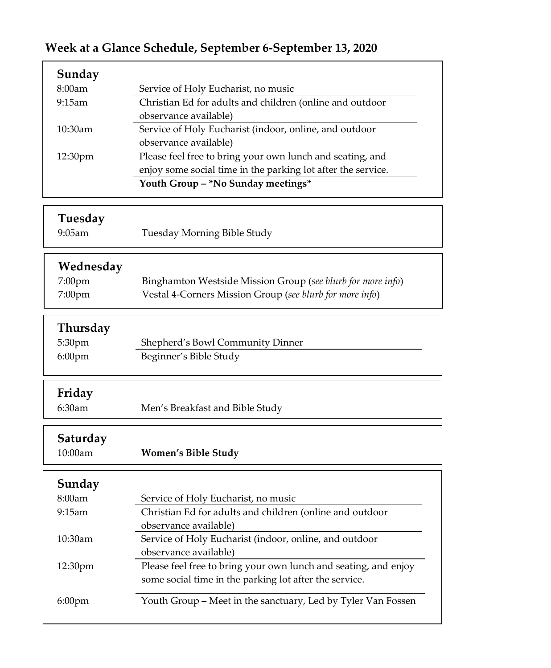# **Week at a Glance Schedule, September 6-September 13, 2020**

| Sunday               |                                                                                   |
|----------------------|-----------------------------------------------------------------------------------|
| 8:00am               | Service of Holy Eucharist, no music                                               |
| 9:15am               | Christian Ed for adults and children (online and outdoor                          |
|                      | observance available)                                                             |
| 10:30am              | Service of Holy Eucharist (indoor, online, and outdoor                            |
|                      | observance available)                                                             |
| 12:30pm              | Please feel free to bring your own lunch and seating, and                         |
|                      | enjoy some social time in the parking lot after the service.                      |
|                      | Youth Group -*No Sunday meetings*                                                 |
|                      |                                                                                   |
| Tuesday<br>$9:05$ am |                                                                                   |
|                      | Tuesday Morning Bible Study                                                       |
| Wednesday            |                                                                                   |
| 7:00pm               | Binghamton Westside Mission Group (see blurb for more info)                       |
| 7:00pm               | Vestal 4-Corners Mission Group (see blurb for more info)                          |
|                      |                                                                                   |
| Thursday             |                                                                                   |
| 5:30pm               | Shepherd's Bowl Community Dinner                                                  |
| 6:00pm               | Beginner's Bible Study                                                            |
|                      |                                                                                   |
| Friday               |                                                                                   |
| 6:30am               | Men's Breakfast and Bible Study                                                   |
|                      |                                                                                   |
| Saturday             |                                                                                   |
| $10:00$ am           | Women's Bible Study                                                               |
|                      |                                                                                   |
| Sunday               |                                                                                   |
| 8:00am<br>9:15am     | Service of Holy Eucharist, no music                                               |
|                      | Christian Ed for adults and children (online and outdoor<br>observance available) |
| 10:30am              | Service of Holy Eucharist (indoor, online, and outdoor                            |
|                      | observance available)                                                             |
| 12:30pm              | Please feel free to bring your own lunch and seating, and enjoy                   |
|                      | some social time in the parking lot after the service.                            |
|                      |                                                                                   |
| 6:00pm               | Youth Group - Meet in the sanctuary, Led by Tyler Van Fossen                      |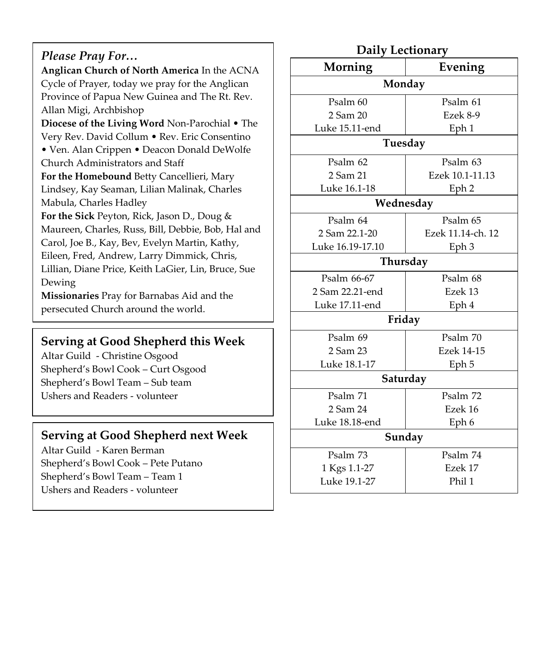#### *Please Pray For…*

**Anglican Church of North America** In the ACNA Cycle of Prayer, today we pray for the Anglican Province of Papua New Guinea and The Rt. Rev. Allan Migi, Archbishop

**Diocese of the Living Word** Non-Parochial • The Very Rev. David Collum • Rev. Eric Consentino

• Ven. Alan Crippen • Deacon Donald DeWolfe Church Administrators and Staff

**For the Homebound** Betty Cancellieri, Mary Lindsey, Kay Seaman, Lilian Malinak, Charles Mabula, Charles Hadley

**For the Sick** Peyton, Rick, Jason D., Doug & Maureen, Charles, Russ, Bill, Debbie, Bob, Hal and Carol, Joe B., Kay, Bev, Evelyn Martin, Kathy, Eileen, Fred, Andrew, Larry Dimmick, Chris, Lillian, Diane Price, Keith LaGier, Lin, Bruce, Sue Dewing

**Missionaries** Pray for Barnabas Aid and the persecuted Church around the world.

#### **Serving at Good Shepherd this Week**

Altar Guild - Christine Osgood Shepherd's Bowl Cook – Curt Osgood Shepherd's Bowl Team – Sub team Ushers and Readers - volunteer

#### **Serving at Good Shepherd next Week**

Altar Guild - Karen Berman Shepherd's Bowl Cook – Pete Putano Shepherd's Bowl Team – Team 1 Ushers and Readers - volunteer

#### **Daily Lectionary Morning Evening Monday** Psalm 60 2 Sam 20 Luke 15.11-end Psalm 61 Ezek 8-9 Eph 1 **Tuesday** Psalm 62 2 Sam 21 Luke 16.1-18 Psalm 63 Ezek 10.1-11.13 Eph 2 **Wednesday** Psalm 64 2 Sam 22.1-20 Luke 16.19-17.10 Psalm 65 Ezek 11.14-ch. 12 Eph 3 **Thursday** Psalm 66-67 2 Sam 22.21-end Luke 17.11-end Psalm 68 Ezek 13 Eph 4 **Friday** Psalm 69 2 Sam 23 Luke 18.1-17 Psalm 70 Ezek 14-15 Eph 5 **Saturday**  Psalm 71 2 Sam 24 Luke 18.18-end Psalm 72 Ezek 16 Eph 6 **Sunday** Psalm 73 1 Kgs 1.1-27 Psalm 74 Ezek 17

Phil 1

Luke 19.1-27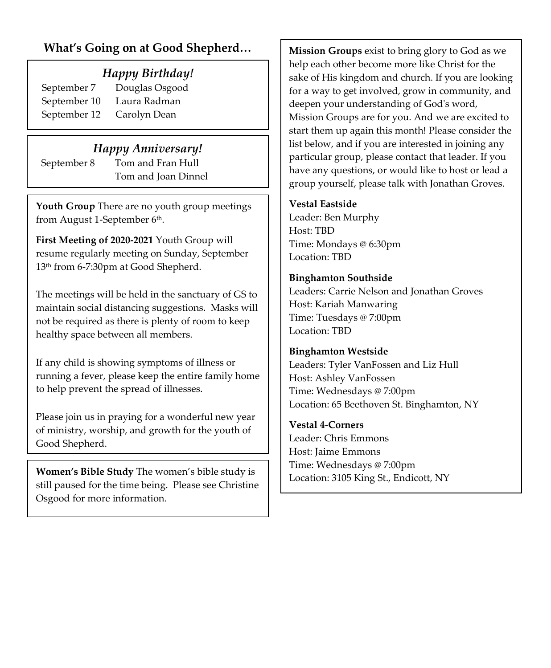### **What's Going on at Good Shepherd…**

#### *Happy Birthday!*

September 10 Laura Radman September 12 Carolyn Dean

September 7 Douglas Osgood

#### *Happy Anniversary!*

September 8 Tom and Fran Hull Tom and Joan Dinnel

**Youth Group** There are no youth group meetings from August 1-September 6<sup>th</sup>.

**First Meeting of 2020-2021** Youth Group will resume regularly meeting on Sunday, September 13th from 6-7:30pm at Good Shepherd.

The meetings will be held in the sanctuary of GS to maintain social distancing suggestions. Masks will not be required as there is plenty of room to keep healthy space between all members.

If any child is showing symptoms of illness or running a fever, please keep the entire family home to help prevent the spread of illnesses.

Please join us in praying for a wonderful new year of ministry, worship, and growth for the youth of Good Shepherd.

**Women's Bible Study** The women's bible study is still paused for the time being. Please see Christine Osgood for more information.

**Mission Groups** exist to bring glory to God as we help each other become more like Christ for the sake of His kingdom and church. If you are looking for a way to get involved, grow in community, and deepen your understanding of God's word, Mission Groups are for you. And we are excited to start them up again this month! Please consider the list below, and if you are interested in joining any particular group, please contact that leader. If you have any questions, or would like to host or lead a group yourself, please talk with Jonathan Groves.

#### **Vestal Eastside**

Leader: Ben Murphy Host: TBD Time: Mondays @ 6:30pm Location: TBD

#### **Binghamton Southside**

Leaders: Carrie Nelson and Jonathan Groves Host: Kariah Manwaring Time: Tuesdays @ 7:00pm Location: TBD

#### **Binghamton Westside**

Leaders: Tyler VanFossen and Liz Hull Host: Ashley VanFossen Time: Wednesdays @ 7:00pm Location: 65 Beethoven St. Binghamton, NY

# **Vestal 4-Corners**

Leader: Chris Emmons Host: Jaime Emmons Time: Wednesdays @ 7:00pm Location: 3105 King St., Endicott, NY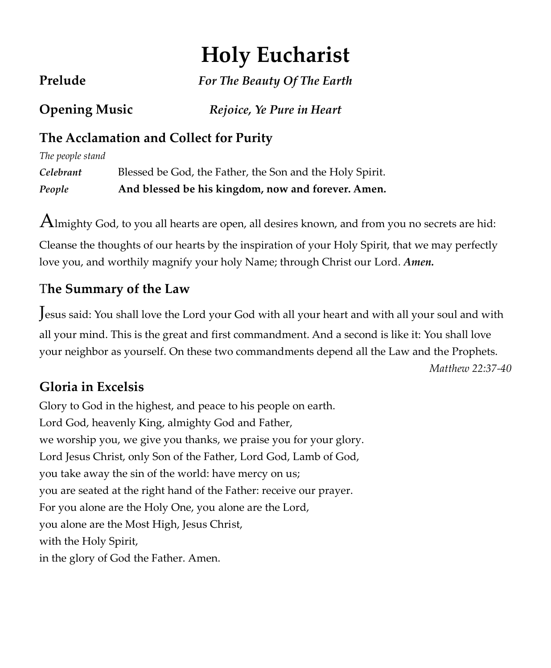# **Holy Eucharist**

**Prelude** *For The Beauty Of The Earth*

**Opening Music** *Rejoice, Ye Pure in Heart*

# **The Acclamation and Collect for Purity**

*The people stand* *Celebrant* Blessed be God, the Father, the Son and the Holy Spirit. *People* **And blessed be his kingdom, now and forever. Amen.**

 $A$ lmighty God, to you all hearts are open, all desires known, and from you no secrets are hid:

Cleanse the thoughts of our hearts by the inspiration of your Holy Spirit, that we may perfectly love you, and worthily magnify your holy Name; through Christ our Lord. *Amen.*

# T**he Summary of the Law**

Jesus said: You shall love the Lord your God with all your heart and with all your soul and with all your mind. This is the great and first commandment. And a second is like it: You shall love your neighbor as yourself. On these two commandments depend all the Law and the Prophets.

*Matthew 22:37-40*

# **Gloria in Excelsis**

Glory to God in the highest, and peace to his people on earth. Lord God, heavenly King, almighty God and Father, we worship you, we give you thanks, we praise you for your glory. Lord Jesus Christ, only Son of the Father, Lord God, Lamb of God, you take away the sin of the world: have mercy on us; you are seated at the right hand of the Father: receive our prayer. For you alone are the Holy One, you alone are the Lord, you alone are the Most High, Jesus Christ, with the Holy Spirit, in the glory of God the Father. Amen.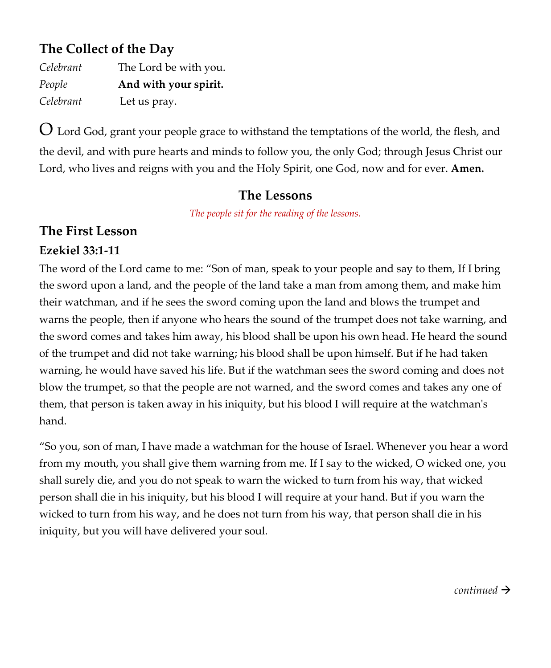# **The Collect of the Day**

| Celebrant | The Lord be with you. |
|-----------|-----------------------|
| People    | And with your spirit. |
| Celebrant | Let us pray.          |

O Lord God, grant your people grace to withstand the temptations of the world, the flesh, and the devil, and with pure hearts and minds to follow you, the only God; through Jesus Christ our Lord, who lives and reigns with you and the Holy Spirit, one God, now and for ever. **Amen.**

#### **The Lessons**

*The people sit for the reading of the lessons.*

# **The First Lesson**

# **Ezekiel 33:1-11**

The word of the Lord came to me: "Son of man, speak to your people and say to them, If I bring the sword upon a land, and the people of the land take a man from among them, and make him their watchman, and if he sees the sword coming upon the land and blows the trumpet and warns the people, then if anyone who hears the sound of the trumpet does not take warning, and the sword comes and takes him away, his blood shall be upon his own head. He heard the sound of the trumpet and did not take warning; his blood shall be upon himself. But if he had taken warning, he would have saved his life. But if the watchman sees the sword coming and does not blow the trumpet, so that the people are not warned, and the sword comes and takes any one of them, that person is taken away in his iniquity, but his blood I will require at the watchman's hand.

"So you, son of man, I have made a watchman for the house of Israel. Whenever you hear a word from my mouth, you shall give them warning from me. If I say to the wicked, O wicked one, you shall surely die, and you do not speak to warn the wicked to turn from his way, that wicked person shall die in his iniquity, but his blood I will require at your hand. But if you warn the wicked to turn from his way, and he does not turn from his way, that person shall die in his iniquity, but you will have delivered your soul.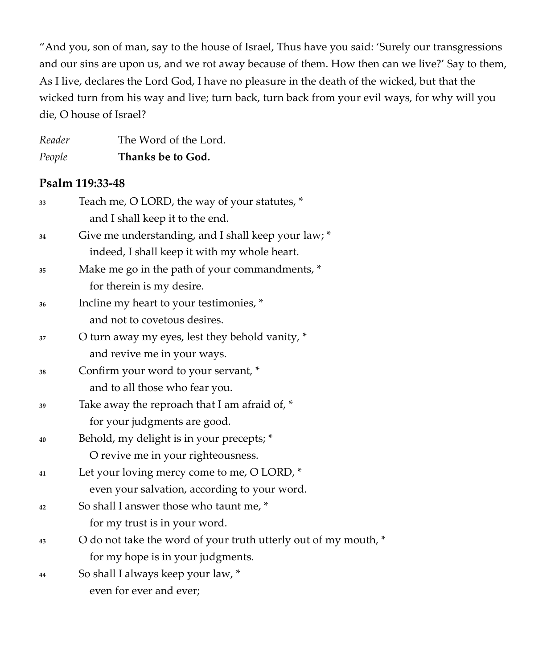"And you, son of man, say to the house of Israel, Thus have you said: 'Surely our transgressions and our sins are upon us, and we rot away because of them. How then can we live?' Say to them, As I live, declares the Lord God, I have no pleasure in the death of the wicked, but that the wicked turn from his way and live; turn back, turn back from your evil ways, for why will you die, O house of Israel?

| Reader | The Word of the Lord. |
|--------|-----------------------|
| People | Thanks be to God.     |

#### **Psalm 119:33-48**

| 33 | Teach me, O LORD, the way of your statutes, *                   |
|----|-----------------------------------------------------------------|
|    | and I shall keep it to the end.                                 |
| 34 | Give me understanding, and I shall keep your law; *             |
|    | indeed, I shall keep it with my whole heart.                    |
| 35 | Make me go in the path of your commandments, *                  |
|    | for therein is my desire.                                       |
| 36 | Incline my heart to your testimonies, *                         |
|    | and not to covetous desires.                                    |
| 37 | O turn away my eyes, lest they behold vanity, *                 |
|    | and revive me in your ways.                                     |
| 38 | Confirm your word to your servant, *                            |
|    | and to all those who fear you.                                  |
| 39 | Take away the reproach that I am afraid of, *                   |
|    | for your judgments are good.                                    |
| 40 | Behold, my delight is in your precepts; *                       |
|    | O revive me in your righteousness.                              |
| 41 | Let your loving mercy come to me, O LORD, *                     |
|    | even your salvation, according to your word.                    |
| 42 | So shall I answer those who taunt me, *                         |
|    | for my trust is in your word.                                   |
| 43 | O do not take the word of your truth utterly out of my mouth, * |
|    | for my hope is in your judgments.                               |
| 44 | So shall I always keep your law, *                              |
|    | even for ever and ever;                                         |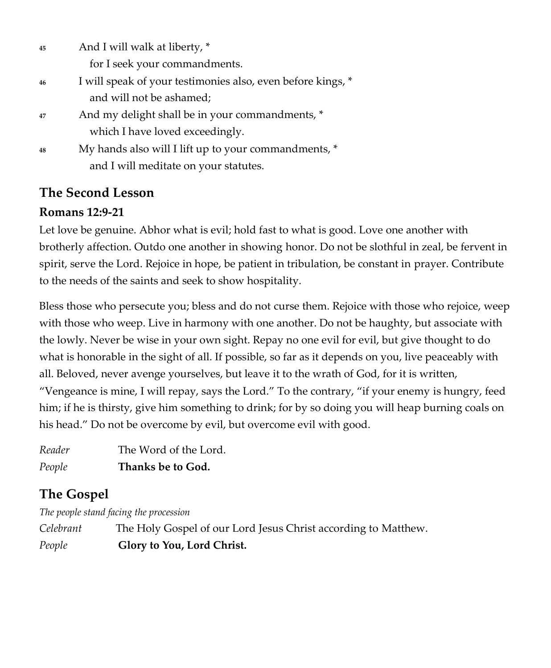| 45 | And I will walk at liberty, *                               |
|----|-------------------------------------------------------------|
|    | for I seek your commandments.                               |
| 46 | I will speak of your testimonies also, even before kings, * |
|    | and will not be ashamed;                                    |
| 47 | And my delight shall be in your commandments, *             |
|    | which I have loved exceedingly.                             |
| 48 | My hands also will I lift up to your commandments, *        |
|    | and I will meditate on your statutes.                       |

# **The Second Lesson**

### **Romans 12:9-21**

Let love be genuine. Abhor what is evil; hold fast to what is good. Love one another with brotherly affection. Outdo one another in showing honor. Do not be slothful in zeal, be fervent in spirit, serve the Lord. Rejoice in hope, be patient in tribulation, be constant in prayer. Contribute to the needs of the saints and seek to show hospitality.

Bless those who persecute you; bless and do not curse them. Rejoice with those who rejoice, weep with those who weep. Live in harmony with one another. Do not be haughty, but associate with the lowly. Never be wise in your own sight. Repay no one evil for evil, but give thought to do what is honorable in the sight of all. If possible, so far as it depends on you, live peaceably with all. Beloved, never avenge yourselves, but leave it to the wrath of God, for it is written, "Vengeance is mine, I will repay, says the Lord." To the contrary, "if your enemy is hungry, feed him; if he is thirsty, give him something to drink; for by so doing you will heap burning coals on his head." Do not be overcome by evil, but overcome evil with good.

| Reader | The Word of the Lord. |
|--------|-----------------------|
| People | Thanks be to God.     |

# **The Gospel**

*The people stand facing the procession*

*Celebrant* The Holy Gospel of our Lord Jesus Christ according to Matthew. *People* **Glory to You, Lord Christ.**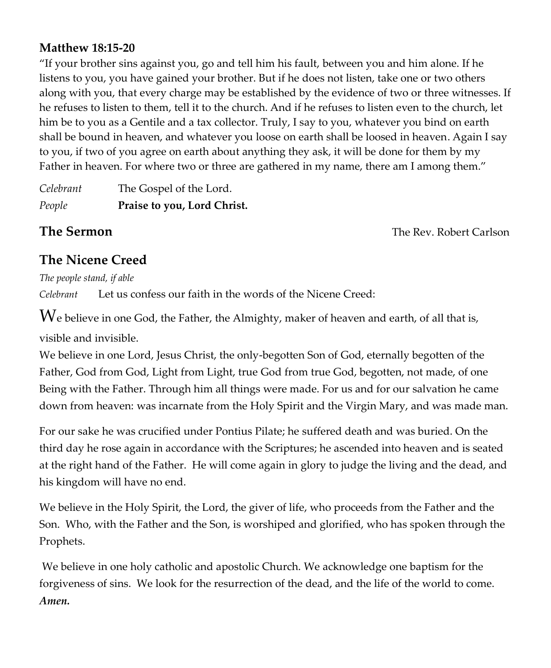#### **Matthew 18:15-20**

"If your brother sins against you, go and tell him his fault, between you and him alone. If he listens to you, you have gained your brother. But if he does not listen, take one or two others along with you, that every charge may be established by the evidence of two or three witnesses. If he refuses to listen to them, tell it to the church. And if he refuses to listen even to the church, let him be to you as a Gentile and a tax collector. Truly, I say to you, whatever you bind on earth shall be bound in heaven, and whatever you loose on earth shall be loosed in heaven. Again I say to you, if two of you agree on earth about anything they ask, it will be done for them by my Father in heaven. For where two or three are gathered in my name, there am I among them."

*Celebrant* The Gospel of the Lord. *People* **Praise to you, Lord Christ.**

**The Sermon Contract Carlson Contract Carlson The Rev. Robert Carlson** 

# **The Nicene Creed**

*The people stand, if able Celebrant* Let us confess our faith in the words of the Nicene Creed:

 $W$ e believe in one God, the Father, the Almighty, maker of heaven and earth, of all that is, visible and invisible.

We believe in one Lord, Jesus Christ, the only-begotten Son of God, eternally begotten of the Father, God from God, Light from Light, true God from true God, begotten, not made, of one Being with the Father. Through him all things were made. For us and for our salvation he came down from heaven: was incarnate from the Holy Spirit and the Virgin Mary, and was made man.

For our sake he was crucified under Pontius Pilate; he suffered death and was buried. On the third day he rose again in accordance with the Scriptures; he ascended into heaven and is seated at the right hand of the Father. He will come again in glory to judge the living and the dead, and his kingdom will have no end.

We believe in the Holy Spirit, the Lord, the giver of life, who proceeds from the Father and the Son. Who, with the Father and the Son, is worshiped and glorified, who has spoken through the Prophets.

We believe in one holy catholic and apostolic Church. We acknowledge one baptism for the forgiveness of sins. We look for the resurrection of the dead, and the life of the world to come. *Amen.*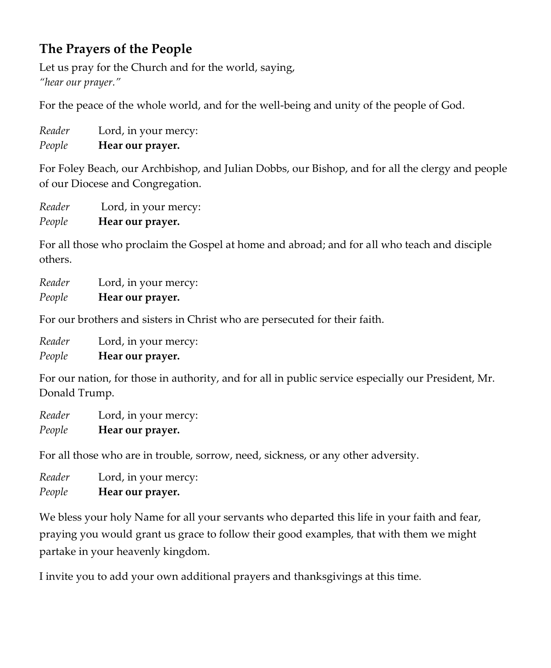# **The Prayers of the People**

Let us pray for the Church and for the world, saying, *"hear our prayer."* 

For the peace of the whole world, and for the well-being and unity of the people of God.

*Reader* Lord, in your mercy: *People* **Hear our prayer.** 

For Foley Beach, our Archbishop, and Julian Dobbs, our Bishop, and for all the clergy and people of our Diocese and Congregation.

*Reader* Lord, in your mercy: *People* **Hear our prayer.** 

For all those who proclaim the Gospel at home and abroad; and for all who teach and disciple others.

*Reader* Lord, in your mercy: *People* **Hear our prayer.** 

For our brothers and sisters in Christ who are persecuted for their faith.

*Reader* Lord, in your mercy: *People* **Hear our prayer.** 

For our nation, for those in authority, and for all in public service especially our President, Mr. Donald Trump.

*Reader* Lord, in your mercy: *People* **Hear our prayer.**

For all those who are in trouble, sorrow, need, sickness, or any other adversity.

*Reader* Lord, in your mercy: *People* **Hear our prayer.**

We bless your holy Name for all your servants who departed this life in your faith and fear, praying you would grant us grace to follow their good examples, that with them we might partake in your heavenly kingdom.

I invite you to add your own additional prayers and thanksgivings at this time*.*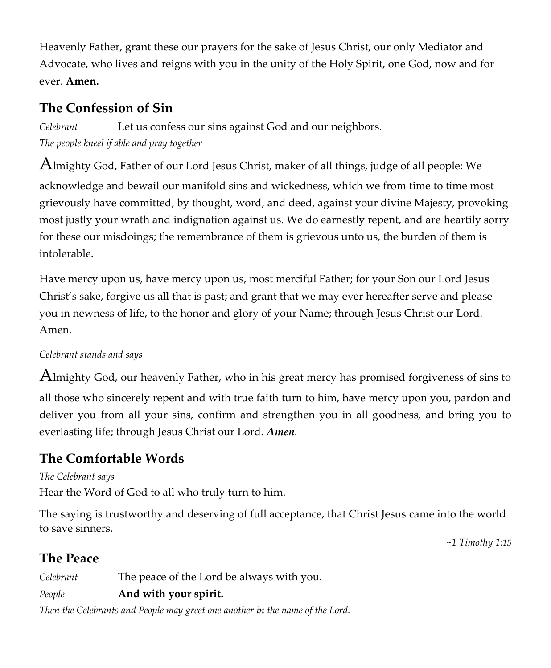Heavenly Father, grant these our prayers for the sake of Jesus Christ, our only Mediator and Advocate, who lives and reigns with you in the unity of the Holy Spirit, one God, now and for ever. **Amen.**

# **The Confession of Sin**

*Celebrant* Let us confess our sins against God and our neighbors. *The people kneel if able and pray together*

Almighty God, Father of our Lord Jesus Christ, maker of all things, judge of all people: We acknowledge and bewail our manifold sins and wickedness, which we from time to time most grievously have committed, by thought, word, and deed, against your divine Majesty, provoking most justly your wrath and indignation against us. We do earnestly repent, and are heartily sorry for these our misdoings; the remembrance of them is grievous unto us, the burden of them is intolerable.

Have mercy upon us, have mercy upon us, most merciful Father; for your Son our Lord Jesus Christ's sake, forgive us all that is past; and grant that we may ever hereafter serve and please you in newness of life, to the honor and glory of your Name; through Jesus Christ our Lord. Amen.

#### *Celebrant stands and says*

Almighty God, our heavenly Father, who in his great mercy has promised forgiveness of sins to all those who sincerely repent and with true faith turn to him, have mercy upon you, pardon and deliver you from all your sins, confirm and strengthen you in all goodness, and bring you to everlasting life; through Jesus Christ our Lord. *Amen.*

# **The Comfortable Words**

#### *The Celebrant says*

Hear the Word of God to all who truly turn to him.

The saying is trustworthy and deserving of full acceptance, that Christ Jesus came into the world to save sinners.

*~1 Timothy 1:15*

# **The Peace**

*Celebrant* The peace of the Lord be always with you.

#### *People* **And with your spirit.**

*Then the Celebrants and People may greet one another in the name of the Lord.*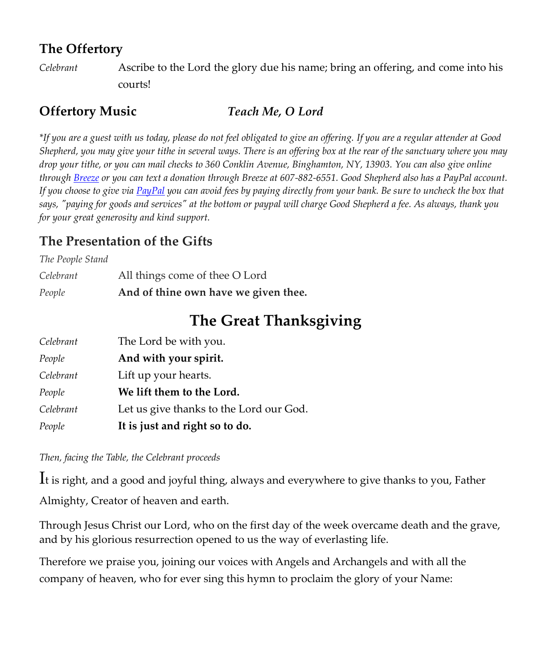# **The Offertory**

*Celebrant* Ascribe to the Lord the glory due his name; bring an offering, and come into his courts!

## **Offertory Music** *Teach Me, O Lord*

*\*If you are a guest with us today, please do not feel obligated to give an offering. If you are a regular attender at Good Shepherd, you may give your tithe in several ways. There is an offering box at the rear of the sanctuary where you may drop your tithe, or you can mail checks to 360 Conklin Avenue, Binghamton, NY, 13903. You can also give online throug[h Breeze](https://goodshepherdbinghamton.breezechms.com/give/online) or you can text a donation through Breeze at 607-882-6551. Good Shepherd also has a PayPal account. If you choose to give vi[a PayPal](https://www.paypal.me/GSBinghamton?utm_source=unp&utm_medium=email&utm_campaign=PPC000654&utm_unptid=42acbf38-6ada-11ea-b9a4-b875c0f50354&ppid=PPC000654&cnac=US&rsta=en_US&cust=8MVRVDQC795TS&unptid=42acbf38-6ada-11ea-b9a4-b875c0f50354&calc=69b6c6cb4a105&unp_tpcid=ppme-social-business-profile-created&page=main:email:PPC000654:::&pgrp=main:email&e=cl&mchn=em&s=ci&mail=sys) you can avoid fees by paying directly from your bank. Be sure to uncheck the box that says, "paying for goods and services" at the bottom or paypal will charge Good Shepherd a fee. As always, thank you for your great generosity and kind support.*

# **The Presentation of the Gifts**

| People           | And of thine own have we given thee. |
|------------------|--------------------------------------|
| Celebrant        | All things come of thee O Lord       |
| The People Stand |                                      |

# **The Great Thanksgiving**

| Celebrant | The Lord be with you.                   |
|-----------|-----------------------------------------|
| People    | And with your spirit.                   |
| Celebrant | Lift up your hearts.                    |
| People    | We lift them to the Lord.               |
| Celebrant | Let us give thanks to the Lord our God. |
| People    | It is just and right so to do.          |

*Then, facing the Table, the Celebrant proceeds*

It is right, and a good and joyful thing, always and everywhere to give thanks to you, Father Almighty, Creator of heaven and earth.

Through Jesus Christ our Lord, who on the first day of the week overcame death and the grave, and by his glorious resurrection opened to us the way of everlasting life.

Therefore we praise you, joining our voices with Angels and Archangels and with all the company of heaven, who for ever sing this hymn to proclaim the glory of your Name: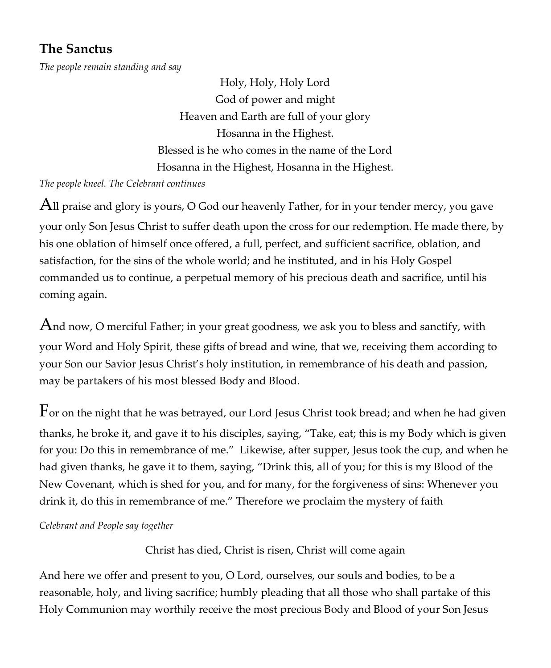# **The Sanctus**

*The people remain standing and say*

Holy, Holy, Holy Lord God of power and might Heaven and Earth are full of your glory Hosanna in the Highest. Blessed is he who comes in the name of the Lord Hosanna in the Highest, Hosanna in the Highest.

*The people kneel. The Celebrant continues*

All praise and glory is yours, O God our heavenly Father, for in your tender mercy, you gave your only Son Jesus Christ to suffer death upon the cross for our redemption. He made there, by his one oblation of himself once offered, a full, perfect, and sufficient sacrifice, oblation, and satisfaction, for the sins of the whole world; and he instituted, and in his Holy Gospel commanded us to continue, a perpetual memory of his precious death and sacrifice, until his coming again.

And now, O merciful Father; in your great goodness, we ask you to bless and sanctify, with your Word and Holy Spirit, these gifts of bread and wine, that we, receiving them according to your Son our Savior Jesus Christ's holy institution, in remembrance of his death and passion, may be partakers of his most blessed Body and Blood.

For on the night that he was betrayed, our Lord Jesus Christ took bread; and when he had given thanks, he broke it, and gave it to his disciples, saying, "Take, eat; this is my Body which is given for you: Do this in remembrance of me." Likewise, after supper, Jesus took the cup, and when he had given thanks, he gave it to them, saying, "Drink this, all of you; for this is my Blood of the New Covenant, which is shed for you, and for many, for the forgiveness of sins: Whenever you drink it, do this in remembrance of me." Therefore we proclaim the mystery of faith

*Celebrant and People say together*

Christ has died, Christ is risen, Christ will come again

And here we offer and present to you, O Lord, ourselves, our souls and bodies, to be a reasonable, holy, and living sacrifice; humbly pleading that all those who shall partake of this Holy Communion may worthily receive the most precious Body and Blood of your Son Jesus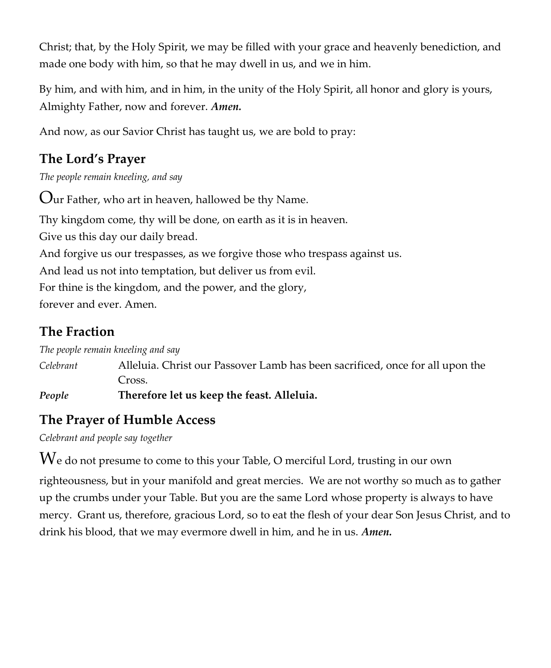Christ; that, by the Holy Spirit, we may be filled with your grace and heavenly benediction, and made one body with him, so that he may dwell in us, and we in him.

By him, and with him, and in him, in the unity of the Holy Spirit, all honor and glory is yours, Almighty Father, now and forever. *Amen.*

And now, as our Savior Christ has taught us, we are bold to pray:

# **The Lord's Prayer**

*The people remain kneeling, and say*

Our Father, who art in heaven, hallowed be thy Name. Thy kingdom come, thy will be done, on earth as it is in heaven. Give us this day our daily bread. And forgive us our trespasses, as we forgive those who trespass against us. And lead us not into temptation, but deliver us from evil. For thine is the kingdom, and the power, and the glory, forever and ever. Amen.

# **The Fraction**

*The people remain kneeling and say*

*Celebrant* Alleluia. Christ our Passover Lamb has been sacrificed, once for all upon the Cross.

*People* **Therefore let us keep the feast. Alleluia.**

# **The Prayer of Humble Access**

*Celebrant and people say together*

 $W$ e do not presume to come to this your Table, O merciful Lord, trusting in our own

righteousness, but in your manifold and great mercies. We are not worthy so much as to gather up the crumbs under your Table. But you are the same Lord whose property is always to have mercy. Grant us, therefore, gracious Lord, so to eat the flesh of your dear Son Jesus Christ, and to drink his blood, that we may evermore dwell in him, and he in us. *Amen.*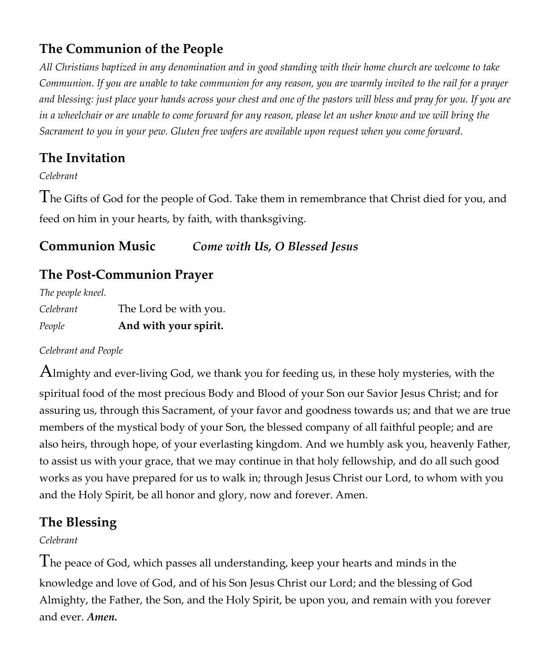# **The Communion of the People**

*All Christians baptized in any denomination and in good standing with their home church are welcome to take Communion. If you are unable to take communion for any reason, you are warmly invited to the rail for a prayer and blessing: just place your hands across your chest and one of the pastors will bless and pray for you. If you are in a wheelchair or are unable to come forward for any reason, please let an usher know and we will bring the Sacrament to you in your pew. Gluten free wafers are available upon request when you come forward.*

# **The Invitation**

*Celebrant*

The Gifts of God for the people of God. Take them in remembrance that Christ died for you, and feed on him in your hearts, by faith, with thanksgiving.

# **Communion Music** *Come with Us, O Blessed Jesus*

# **The Post-Communion Prayer**

*The people kneel.* 

| People    | And with your spirit. |
|-----------|-----------------------|
| Celebrant | The Lord be with you. |

#### *Celebrant and People*

Almighty and ever-living God, we thank you for feeding us, in these holy mysteries, with the spiritual food of the most precious Body and Blood of your Son our Savior Jesus Christ; and for assuring us, through this Sacrament, of your favor and goodness towards us; and that we are true members of the mystical body of your Son, the blessed company of all faithful people; and are also heirs, through hope, of your everlasting kingdom. And we humbly ask you, heavenly Father, to assist us with your grace, that we may continue in that holy fellowship, and do all such good works as you have prepared for us to walk in; through Jesus Christ our Lord, to whom with you and the Holy Spirit, be all honor and glory, now and forever. Amen.

# **The Blessing**

#### *Celebrant*

The peace of God, which passes all understanding, keep your hearts and minds in the knowledge and love of God, and of his Son Jesus Christ our Lord; and the blessing of God Almighty, the Father, the Son, and the Holy Spirit, be upon you, and remain with you forever and ever. *Amen.*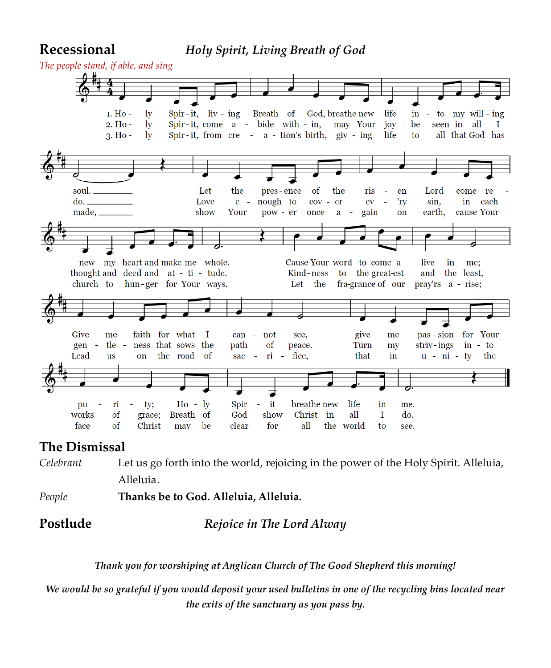#### **Recessional** *Holy Spirit, Living Breath of God*



#### **The Dismissal**

*Celebrant* Let us go forth into the world, rejoicing in the power of the Holy Spirit. Alleluia, Alleluia.

*People* **Thanks be to God. Alleluia, Alleluia.**

#### **Postlude** *Rejoice in The Lord Alway*

*Thank you for worshiping at Anglican Church of The Good Shepherd this morning!*

*We would be so grateful if you would deposit your used bulletins in one of the recycling bins located near the exits of the sanctuary as you pass by.*